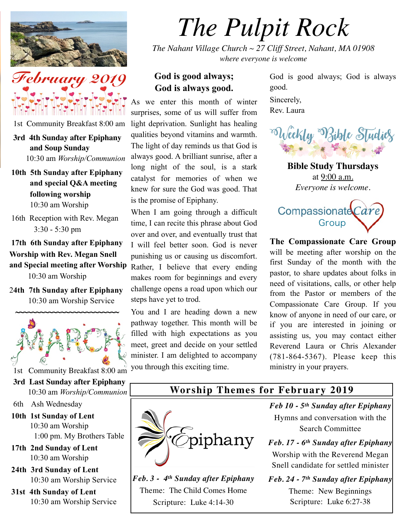



1st Community Breakfast 8:00 am

 **3rd 4th Sunday after Epiphany and Soup Sunday** 

10:30 am *Worship/Communion*

- **10th 5th Sunday after Epiphany and special Q&A meeting following worship** 10:30 am Worship
- 16th Reception with Rev. Megan 3:30 - 5:30 pm

**17th 6th Sunday after Epiphany Worship with Rev. Megan Snell and Special meeting after Worship** 

10:30 am Worship

2**4th 7th Sunday after Epiphany** 10:30 am Worship Service



1st Community Breakfast 8:00 am

- **3rd Last Sunday after Epiphany** 10:30 am *Worship/Communion*
- 6th Ash Wednesday
- **10th 1st Sunday of Lent** 10:30 am Worship 1:00 pm. My Brothers Table
- **17th 2nd Sunday of Lent** 10:30 am Worship
- **24th 3rd Sunday of Lent** 10:30 am Worship Service
- **31st 4th Sunday of Lent** 10:30 am Worship Service

## *The Pulpit Rock*

*The Nahant Village Church ~ 27 Cliff Street, Nahant, MA 01908 where everyone is welcome*

## **God is good always; God is always good.**

As we enter this month of winter surprises, some of us will suffer from light deprivation. Sunlight has healing qualities beyond vitamins and warmth. The light of day reminds us that God is always good. A brilliant sunrise, after a long night of the soul, is a stark catalyst for memories of when we knew for sure the God was good. That is the promise of Epiphany.

When I am going through a difficult time, I can recite this phrase about God over and over, and eventually trust that I will feel better soon. God is never punishing us or causing us discomfort. Rather, I believe that every ending makes room for beginnings and every challenge opens a road upon which our steps have yet to trod.

You and I are heading down a new pathway together. This month will be filled with high expectations as you meet, greet and decide on your settled minister. I am delighted to accompany you through this exciting time.

God is good always; God is always good. Sincerely, Rev. Laura



**Bible Study Thursdays** at 9:00 a.m. *Everyone is welcome.*



**The Compassionate Care Group** will be meeting after worship on the first Sunday of the month with the pastor, to share updates about folks in need of visitations, calls, or other help from the Pastor or members of the Compassionate Care Group. If you know of anyone in need of our care, or if you are interested in joining or assisting us, you may contact either Reverend Laura or Chris Alexander (781-864-5367). Please keep this ministry in your prayers.

# **Worship Themes for February 2019**



*Feb. 3 - 4th Sunday after Epiphany* Theme: The Child Comes Home Scripture: Luke 4:14-30

*Feb 10 - 5th Sunday after Epiphany* Hymns and conversation with the Search Committee

*Feb. 17 - 6th Sunday after Epiphany* Worship with the Reverend Megan Snell candidate for settled minister

*Feb. 24 - 7th Sunday after Epiphany* Theme: New Beginnings Scripture: Luke 6:27-38